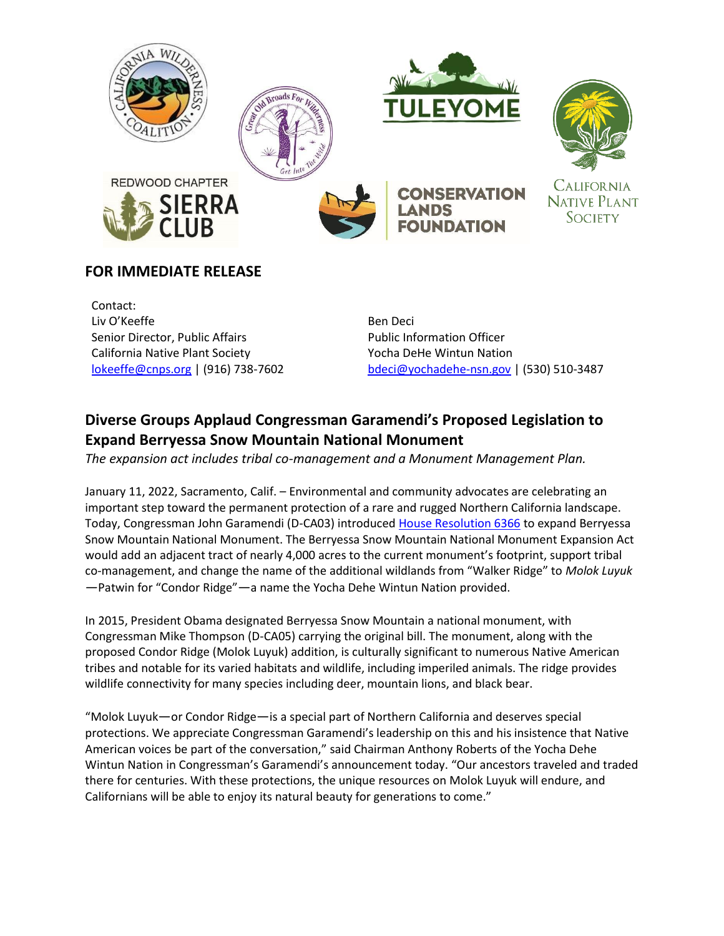





# **FOR IMMEDIATE RELEASE**

Contact: Liv O'Keeffe Senior Director, Public Affairs California Native Plant Society lokeeffe@cnps.org | (916) 738-7602

Ben Deci Public Information Officer Yocha DeHe Wintun Nation bdeci@yochadehe-nsn.gov | (530) 510-3487

# **Diverse Groups Applaud Congressman Garamendi's Proposed Legislation to Expand Berryessa Snow Mountain National Monument**

*The expansion act includes tribal co-management and a Monument Management Plan.*

January 11, 2022, Sacramento, Calif. – Environmental and community advocates are celebrating an important step toward the permanent protection of a rare and rugged Northern California landscape. Today, Congressman John Garamendi (D-CA03) introduced House Resolution 6366 to expand Berryessa Snow Mountain National Monument. The Berryessa Snow Mountain National Monument Expansion Act would add an adjacent tract of nearly 4,000 acres to the current monument's footprint, support tribal co-management, and change the name of the additional wildlands from "Walker Ridge" to *Molok Luyuk —*Patwin for "Condor Ridge"—a name the Yocha Dehe Wintun Nation provided.

In 2015, President Obama designated Berryessa Snow Mountain a national monument, with Congressman Mike Thompson (D-CA05) carrying the original bill. The monument, along with the proposed Condor Ridge (Molok Luyuk) addition, is culturally significant to numerous Native American tribes and notable for its varied habitats and wildlife, including imperiled animals. The ridge provides wildlife connectivity for many species including deer, mountain lions, and black bear.

"Molok Luyuk—or Condor Ridge—is a special part of Northern California and deserves special protections. We appreciate Congressman Garamendi's leadership on this and his insistence that Native American voices be part of the conversation," said Chairman Anthony Roberts of the Yocha Dehe Wintun Nation in Congressman's Garamendi's announcement today. "Our ancestors traveled and traded there for centuries. With these protections, the unique resources on Molok Luyuk will endure, and Californians will be able to enjoy its natural beauty for generations to come."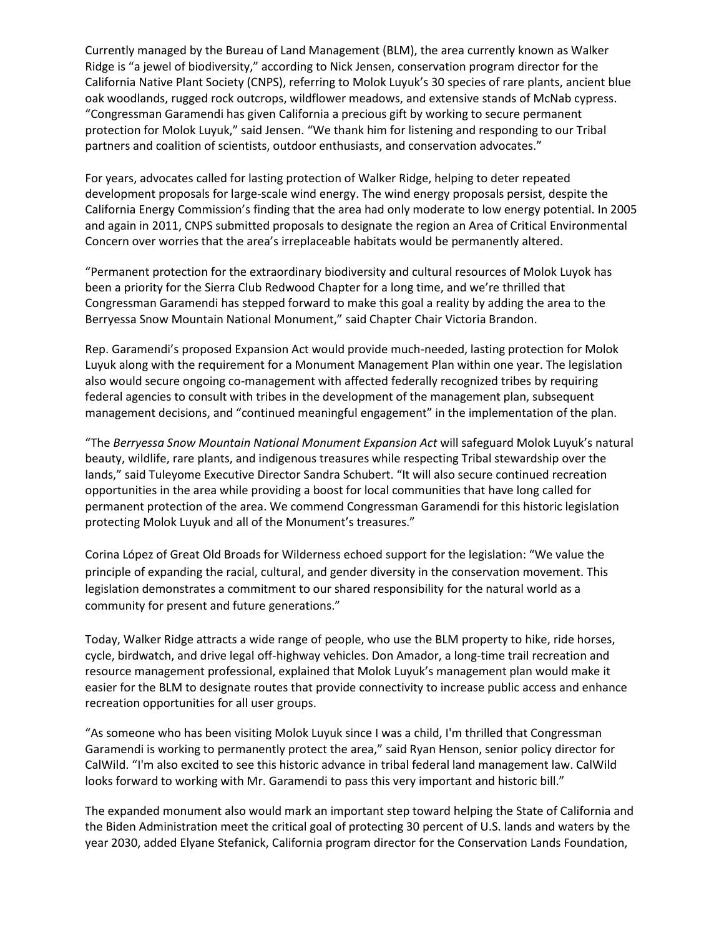Currently managed by the Bureau of Land Management (BLM), the area currently known as Walker Ridge is "a jewel of biodiversity," according to Nick Jensen, conservation program director for the California Native Plant Society (CNPS), referring to Molok Luyuk's 30 species of rare plants, ancient blue oak woodlands, rugged rock outcrops, wildflower meadows, and extensive stands of McNab cypress. "Congressman Garamendi has given California a precious gift by working to secure permanent protection for Molok Luyuk," said Jensen. "We thank him for listening and responding to our Tribal partners and coalition of scientists, outdoor enthusiasts, and conservation advocates."

For years, advocates called for lasting protection of Walker Ridge, helping to deter repeated development proposals for large-scale wind energy. The wind energy proposals persist, despite the California Energy Commission's finding that the area had only moderate to low energy potential. In 2005 and again in 2011, CNPS submitted proposals to designate the region an Area of Critical Environmental Concern over worries that the area's irreplaceable habitats would be permanently altered.

"Permanent protection for the extraordinary biodiversity and cultural resources of Molok Luyok has been a priority for the Sierra Club Redwood Chapter for a long time, and we're thrilled that Congressman Garamendi has stepped forward to make this goal a reality by adding the area to the Berryessa Snow Mountain National Monument," said Chapter Chair Victoria Brandon.

Rep. Garamendi's proposed Expansion Act would provide much-needed, lasting protection for Molok Luyuk along with the requirement for a Monument Management Plan within one year. The legislation also would secure ongoing co-management with affected federally recognized tribes by requiring federal agencies to consult with tribes in the development of the management plan, subsequent management decisions, and "continued meaningful engagement" in the implementation of the plan.

"The *Berryessa Snow Mountain National Monument Expansion Act* will safeguard Molok Luyuk's natural beauty, wildlife, rare plants, and indigenous treasures while respecting Tribal stewardship over the lands," said Tuleyome Executive Director Sandra Schubert. "It will also secure continued recreation opportunities in the area while providing a boost for local communities that have long called for permanent protection of the area. We commend Congressman Garamendi for this historic legislation protecting Molok Luyuk and all of the Monument's treasures."

Corina López of Great Old Broads for Wilderness echoed support for the legislation: "We value the principle of expanding the racial, cultural, and gender diversity in the conservation movement. This legislation demonstrates a commitment to our shared responsibility for the natural world as a community for present and future generations."

Today, Walker Ridge attracts a wide range of people, who use the BLM property to hike, ride horses, cycle, birdwatch, and drive legal off-highway vehicles. Don Amador, a long-time trail recreation and resource management professional, explained that Molok Luyuk's management plan would make it easier for the BLM to designate routes that provide connectivity to increase public access and enhance recreation opportunities for all user groups.

"As someone who has been visiting Molok Luyuk since I was a child, I'm thrilled that Congressman Garamendi is working to permanently protect the area," said Ryan Henson, senior policy director for CalWild. "I'm also excited to see this historic advance in tribal federal land management law. CalWild looks forward to working with Mr. Garamendi to pass this very important and historic bill."

The expanded monument also would mark an important step toward helping the State of California and the Biden Administration meet the critical goal of protecting 30 percent of U.S. lands and waters by the year 2030, added Elyane Stefanick, California program director for the Conservation Lands Foundation,